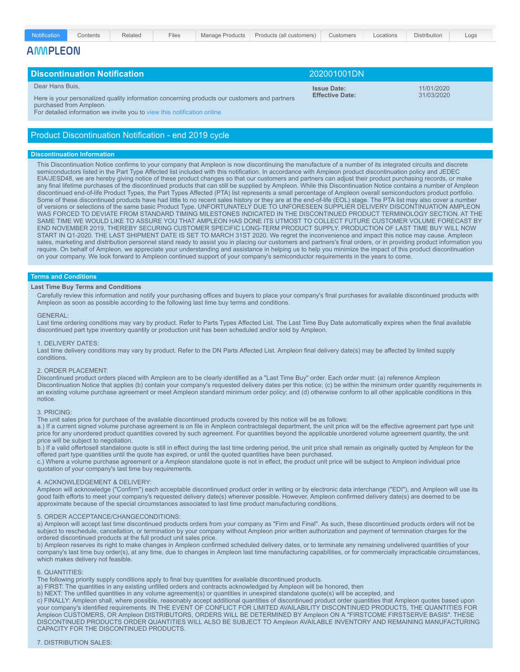| Notification    | Contents                            | Related | <b>Files</b> | <b>Manage Products</b>                                                                       | Products (all customers) | <b>Customers</b>                 | Locations  | Distribution | Logs |  |  |
|-----------------|-------------------------------------|---------|--------------|----------------------------------------------------------------------------------------------|--------------------------|----------------------------------|------------|--------------|------|--|--|
| <b>AMMPLEON</b> |                                     |         |              |                                                                                              |                          |                                  |            |              |      |  |  |
|                 |                                     |         |              |                                                                                              |                          |                                  |            |              |      |  |  |
|                 | <b>Discontinuation Notification</b> |         |              |                                                                                              | 202001001DN              |                                  |            |              |      |  |  |
| Dear Hans Buis. |                                     |         |              |                                                                                              |                          | 11/01/2020<br><b>Issue Date:</b> |            |              |      |  |  |
|                 | purchased from Ampleon.             |         |              | Here is your personalized quality information concerning products our customers and partners | <b>Effective Date:</b>   |                                  | 31/03/2020 |              |      |  |  |

For detailed information we invite you to view this [notification](https://apps.ampleon.com/b2b/?rq_AppGuid=C2D13D44F75433C0D353151F94441B9C50B95D87&rq_TargetPageGuid=1F81085DB1710B1CBAD76441E7388F40491B4345&rq_RecId=35423846424339424139373132304236373532353131414542353631333331424338394543463445) online

# Product Discontinuation Notification - end 2019 cycle

## **Discontinuation Information**

This Discontinuation Notice confirms to your company that Ampleon is now discontinuing the manufacture of a number of its integrated circuits and discrete semiconductors listed in the Part Type Affected list included with this notification. In accordance with Ampleon product discontinuation policy and JEDEC EIA/JESD48, we are hereby giving notice of these product changes so that our customers and partners can adjust their product purchasing records, or make any final lifetime purchases of the discontinued products that can still be supplied by Ampleon. While this Discontinuation Notice contains a number of Ampleon discontinued end-of-life Product Types, the Part Types Affected (PTA) list represents a small percentage of Ampleon overall semiconductors product portfolio. Some of these discontinued products have had little to no recent sales history or they are at the end-of-life (EOL) stage. The PTA list may also cover a number of versions or selections of the same basic Product Type. UNFORTUNATELY DUE TO UNFORESEEN SUPPLIER DELIVERY DISCONTINUATION AMPLEON WAS FORCED TO DEVIATE FROM STANDARD TIMING MILESTONES INDICATED IN THE DISCONTINUED PRODUCT TERMINOLOGY SECTION. AT THE SAME TIME WE WOULD LIKE TO ASSURE YOU THAT AMPLEON HAS DONE ITS UTMOST TO COLLECT FUTURE CUSTOMER VOLUME FORECAST BY END NOVEMBER 2019, THEREBY SECURING CUSTOMER SPECIFIC LONG-TERM PRODUCT SUPPLY. PRODUCTION OF LAST TIME BUY WILL NOW START IN Q1-2020. THE LAST SHIPMENT DATE IS SET TO MARCH 31ST 2020. We regret the inconvenience and impact this notice may cause. Ampleon sales, marketing and distribution personnel stand ready to assist you in placing our customers and partners's final orders, or in providing product information you require. On behalf of Ampleon, we appreciate your understanding and assistance in helping us to help you minimize the impact of this product discontinuation on your company. We look forward to Ampleon continued support of your company's semiconductor requirements in the years to come.

## **Terms and Conditions**

#### **Last Time Buy Terms and Conditions**

Carefully review this information and notify your purchasing offices and buyers to place your company's final purchases for available discontinued products with Ampleon as soon as possible according to the following last time buy terms and conditions.

## GENERAL:

Last time ordering conditions may vary by product. Refer to Parts Types Affected List. The Last Time Buy Date automatically expires when the final available discontinued part type inventory quantity or production unit has been scheduled and/or sold by Ampleon.

## 1. DELIVERY DATES:

Last time delivery conditions may vary by product. Refer to the DN Parts Affected List. Ampleon final delivery date(s) may be affected by limited supply conditions.

#### 2. ORDER PLACEMENT:

Discontinued product orders placed with Ampleon are to be clearly identified as a "Last Time Buy" order. Each order must: (a) reference Ampleon Discontinuation Notice that applies (b) contain your company's requested delivery dates per this notice; (c) be within the minimum order quantity requirements in an existing volume purchase agreement or meet Ampleon standard minimum order policy; and (d) otherwise conform to all other applicable conditions in this notice.

## 3. PRICING:

The unit sales price for purchase of the available discontinued products covered by this notice will be as follows:

a.) If a current signed volume purchase agreement is on file in Ampleon contractslegal department, the unit price will be the effective agreement part type unit price for any unordered product quantities covered by such agreement. For quantities beyond the applicable unordered volume agreement quantity, the unit price will be subject to negotiation.

b.) If a valid offertosell standalone quote is still in effect during the last time ordering period, the unit price shall remain as originally quoted by Ampleon for the offered part type quantities until the quote has expired, or until the quoted quantities have been purchased.

c.) Where a volume purchase agreement or a Ampleon standalone quote is not in effect, the product unit price will be subject to Ampleon individual price quotation of your company's last time buy requirements.

#### 4. ACKNOWLEDGEMENT & DELIVERY:

Ampleon will acknowledge ("Confirm") each acceptable discontinued product order in writing or by electronic data interchange ("EDI"), and Ampleon will use its good faith efforts to meet your company's requested delivery date(s) wherever possible. However, Ampleon confirmed delivery date(s) are deemed to be approximate because of the special circumstances associated to last time product manufacturing conditions.

## 5. ORDER ACCEPTANCE/CHANGECONDITIONS:

a) Ampleon will accept last time discontinued products orders from your company as "Firm and Final". As such, these discontinued products orders will not be subject to reschedule, cancellation, or termination by your company without Ampleon prior written authorization and payment of termination charges for the ordered discontinued products at the full product unit sales price.

b) Ampleon reserves its right to make changes in Ampleon confirmed scheduled delivery dates, or to terminate any remaining undelivered quantities of your company's last time buy order(s), at any time, due to changes in Ampleon last time manufacturing capabilities, or for commercially impracticable circumstances, which makes delivery not feasible.

#### 6. QUANTITIES:

The following priority supply conditions apply to final buy quantities for available discontinued products.

a) FIRST: The quantities in any existing unfilled orders and contracts acknowledged by Ampleon will be honored, then

b) NEXT: The unfilled quantities in any volume agreement(s) or quantities in unexpired standalone quote(s) will be accepted, and

c) FINALLY: Ampleon shall, where possible, reasonably accept additional quantities of discontinued product order quantities that Ampleon quotes based upon your company's identified requirements. IN THE EVENT OF CONFLICT FOR LIMITED AVAILABILITY DISCONTINUED PRODUCTS, THE QUANTITIES FOR Ampleon CUSTOMERS, OR Ampleon DISTRIBUTORS, ORDERS WILL BE DETERMINED BY Ampleon ON A "FIRSTCOME FIRSTSERVE BASIS". THESE DISCONTINUED PRODUCTS ORDER QUANTITIES WILL ALSO BE SUBJECT TO Ampleon AVAILABLE INVENTORY AND REMAINING MANUFACTURING CAPACITY FOR THE DISCONTINUED PRODUCTS.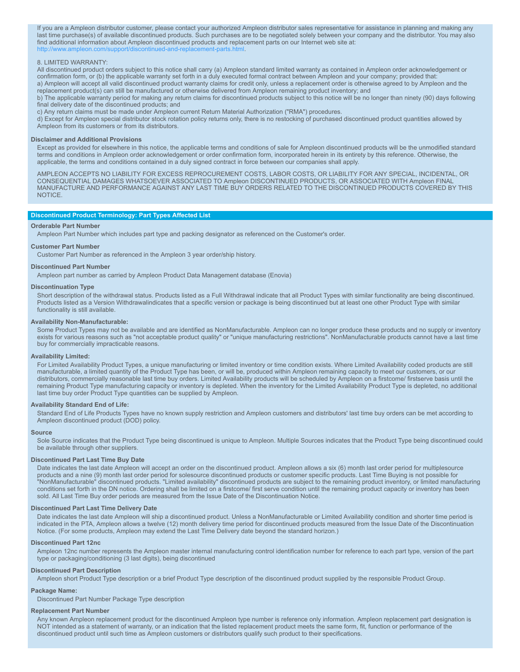If you are a Ampleon distributor customer, please contact your authorized Ampleon distributor sales representative for assistance in planning and making any last time purchase(s) of available discontinued products. Such purchases are to be negotiated solely between your company and the distributor. You may also find additional information about Ampleon discontinued products and replacement parts on our Internet web site at: [http://www.ampleon.com/support/discontinued-and-replacement-parts.html.](http://www.ampleon.com/support/discontinued-and-replacement-parts.html)

## 8. LIMITED WARRANTY:

All discontinued product orders subject to this notice shall carry (a) Ampleon standard limited warranty as contained in Ampleon order acknowledgement or confirmation form, or (b) the applicable warranty set forth in a duly executed formal contract between Ampleon and your company; provided that: a) Ampleon will accept all valid discontinued product warranty claims for credit only, unless a replacement order is otherwise agreed to by Ampleon and the replacement product(s) can still be manufactured or otherwise delivered from Ampleon remaining product inventory; and

b) The applicable warranty period for making any return claims for discontinued products subject to this notice will be no longer than ninety (90) days following final delivery date of the discontinued products; and

c) Any return claims must be made under Ampleon current Return Material Authorization ("RMA") procedures.

d) Except for Ampleon special distributor stock rotation policy returns only, there is no restocking of purchased discontinued product quantities allowed by Ampleon from its customers or from its distributors.

#### **Disclaimer and Additional Provisions**

Except as provided for elsewhere in this notice, the applicable terms and conditions of sale for Ampleon discontinued products will be the unmodified standard terms and conditions in Ampleon order acknowledgement or order confirmation form, incorporated herein in its entirety by this reference. Otherwise, the applicable, the terms and conditions contained in a duly signed contract in force between our companies shall apply.

AMPLEON ACCEPTS NO LIABILITY FOR EXCESS REPROCUREMENT COSTS, LABOR COSTS, OR LIABILITY FOR ANY SPECIAL, INCIDENTAL, OR CONSEQUENTIAL DAMAGES WHATSOEVER ASSOCIATED TO Ampleon DISCONTINUED PRODUCTS, OR ASSOCIATED WITH Ampleon FINAL MANUFACTURE AND PERFORMANCE AGAINST ANY LAST TIME BUY ORDERS RELATED TO THE DISCONTINUED PRODUCTS COVERED BY THIS **NOTICE** 

## **Discontinued Product Terminology: Part Types Affected List**

## **Orderable Part Number**

Ampleon Part Number which includes part type and packing designator as referenced on the Customer's order.

### **Customer Part Number**

Customer Part Number as referenced in the Ampleon 3 year order/ship history.

#### **Discontinued Part Number**

Ampleon part number as carried by Ampleon Product Data Management database (Enovia)

#### **Discontinuation Type**

Short description of the withdrawal status. Products listed as a Full Withdrawal indicate that all Product Types with similar functionality are being discontinued. Products listed as a Version Withdrawalindicates that a specific version or package is being discontinued but at least one other Product Type with similar functionality is still available.

#### **Availability Non-Manufacturable:**

Some Product Types may not be available and are identified as NonManufacturable. Ampleon can no longer produce these products and no supply or inventory exists for various reasons such as "not acceptable product quality" or "unique manufacturing restrictions". NonManufacturable products cannot have a last time buy for commercially impracticable reasons.

#### **Availability Limited:**

For Limited Availability Product Types, a unique manufacturing or limited inventory or time condition exists. Where Limited Availability coded products are still manufacturable, a limited quantity of the Product Type has been, or will be, produced within Ampleon remaining capacity to meet our customers, or our distributors, commercially reasonable last time buy orders. Limited Availability products will be scheduled by Ampleon on a firstcome/ firstserve basis until the remaining Product Type manufacturing capacity or inventory is depleted. When the inventory for the Limited Availability Product Type is depleted, no additional last time buy order Product Type quantities can be supplied by Ampleon.

## **Availability Standard End of Life:**

Standard End of Life Products Types have no known supply restriction and Ampleon customers and distributors' last time buy orders can be met according to Ampleon discontinued product (DOD) policy.

#### **Source**

Sole Source indicates that the Product Type being discontinued is unique to Ampleon. Multiple Sources indicates that the Product Type being discontinued could be available through other suppliers.

#### **Discontinued Part Last Time Buy Date**

Date indicates the last date Ampleon will accept an order on the discontinued product. Ampleon allows a six (6) month last order period for multiplesource products and a nine (9) month last order period for solesource discontinued products or customer specific products. Last Time Buying is not possible for "NonManufacturable" discontinued products. "Limited availability" discontinued products are subject to the remaining product inventory, or limited manufacturing conditions set forth in the DN notice. Ordering shall be limited on a firstcome/ first serve condition until the remaining product capacity or inventory has been sold. All Last Time Buy order periods are measured from the Issue Date of the Discontinuation Notice.

## **Discontinued Part Last Time Delivery Date**

Date indicates the last date Ampleon will ship a discontinued product. Unless a NonManufacturable or Limited Availability condition and shorter time period is indicated in the PTA, Ampleon allows a twelve (12) month delivery time period for discontinued products measured from the Issue Date of the Discontinuation Notice. (For some products, Ampleon may extend the Last Time Delivery date beyond the standard horizon.)

#### **Discontinued Part 12nc**

Ampleon 12nc number represents the Ampleon master internal manufacturing control identification number for reference to each part type, version of the part type or packaging/conditioning (3 last digits), being discontinued

#### **Discontinued Part Description**

Ampleon short Product Type description or a brief Product Type description of the discontinued product supplied by the responsible Product Group.

## **Package Name:**

Discontinued Part Number Package Type description

## **Replacement Part Number**

Any known Ampleon replacement product for the discontinued Ampleon type number is reference only information. Ampleon replacement part designation is NOT intended as a statement of warranty, or an indication that the listed replacement product meets the same form, fit, function or performance of the discontinued product until such time as Ampleon customers or distributors qualify such product to their specifications.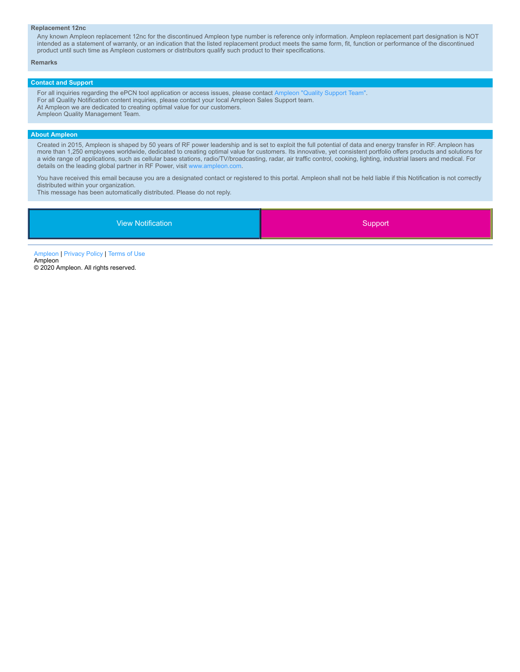#### **Replacement 12nc**

Any known Ampleon replacement 12nc for the discontinued Ampleon type number is reference only information. Ampleon replacement part designation is NOT intended as a statement of warranty, or an indication that the listed replacement product meets the same form, fit, function or performance of the discontinued product until such time as Ampleon customers or distributors qualify such product to their specifications.

#### **Remarks**

## **Contact and Support**

For all inquiries regarding the ePCN tool application or access issues, please contact [Ampleon](mailto:epcn.support@ampleon.com?subject=ePCN%20Support) "Quality Support Team". For all Quality Notification content inquiries, please contact your local Ampleon Sales Support team. At Ampleon we are dedicated to creating optimal value for our customers. Ampleon Quality Management Team.

## **About Ampleon**

Created in 2015, Ampleon is shaped by 50 years of RF power leadership and is set to exploit the full potential of data and energy transfer in RF. Ampleon has more than 1,250 employees worldwide, dedicated to creating optimal value for customers. Its innovative, yet consistent portfolio offers products and solutions for a wide range of applications, such as cellular base stations, radio/TV/broadcasting, radar, air traffic control, cooking, lighting, industrial lasers and medical. For details on the leading global partner in RF Power, visit [www.ampleon.com](http://www.ampleon.com/).

You have received this email because you are a designated contact or registered to this portal. Ampleon shall not be held liable if this Notification is not correctly distributed within your organization.

This message has been automatically distributed. Please do not reply.

| <b>View Notification</b> | Support <sup>'</sup> |
|--------------------------|----------------------|
|                          |                      |

[Ampleon](http://www.ampleon.com/) | [Privacy](http://www.ampleon.com/about/privacy.html) Policy | [Terms](http://www.ampleon.com/about/terms-of-use.html) of Use Ampleon © 2020 Ampleon. All rights reserved.